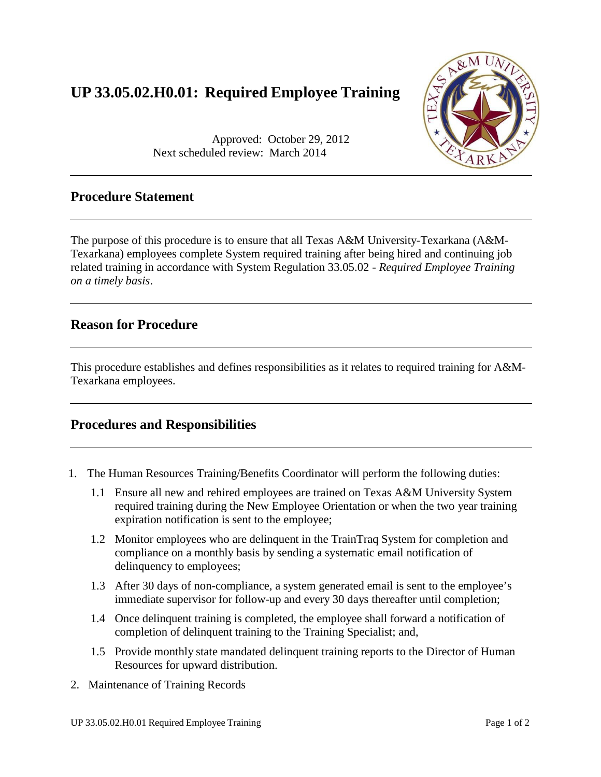# **UP 33.05.02.H0.01: Required Employee Training**



Approved: October 29, 2012 Next scheduled review: March 2014

### **Procedure Statement**

The purpose of this procedure is to ensure that all Texas A&M University-Texarkana (A&M-Texarkana) employees complete System required training after being hired and continuing job related training in accordance with System Regulation 33.05.02 - *Required Employee Training on a timely basis*.

#### **Reason for Procedure**

This procedure establishes and defines responsibilities as it relates to required training for A&M-Texarkana employees.

### **Procedures and Responsibilities**

- 1. The Human Resources Training/Benefits Coordinator will perform the following duties:
	- 1.1 Ensure all new and rehired employees are trained on Texas A&M University System required training during the New Employee Orientation or when the two year training expiration notification is sent to the employee;
	- 1.2 Monitor employees who are delinquent in the TrainTraq System for completion and compliance on a monthly basis by sending a systematic email notification of delinquency to employees;
	- 1.3 After 30 days of non-compliance, a system generated email is sent to the employee's immediate supervisor for follow-up and every 30 days thereafter until completion;
	- 1.4 Once delinquent training is completed, the employee shall forward a notification of completion of delinquent training to the Training Specialist; and,
	- 1.5 Provide monthly state mandated delinquent training reports to the Director of Human Resources for upward distribution.
- 2. Maintenance of Training Records